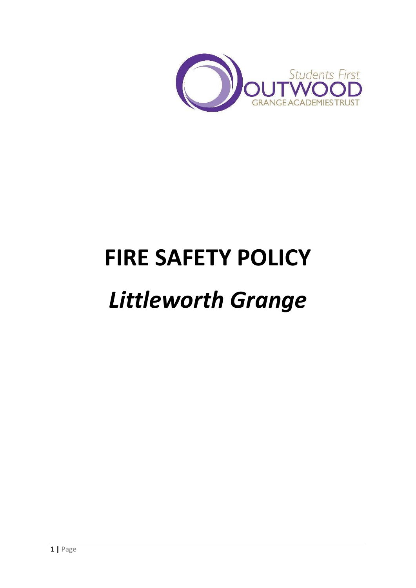

# **FIRE SAFETY POLICY**

# *Littleworth Grange*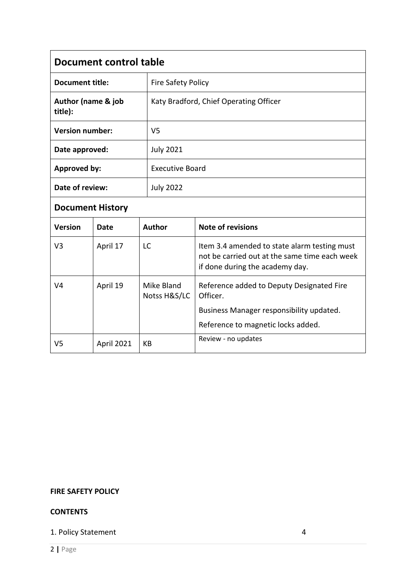| Document control table        |                                        |  |  |
|-------------------------------|----------------------------------------|--|--|
| <b>Document title:</b>        | <b>Fire Safety Policy</b>              |  |  |
| Author (name & job<br>title): | Katy Bradford, Chief Operating Officer |  |  |
| <b>Version number:</b>        | V <sub>5</sub>                         |  |  |
| Date approved:                | <b>July 2021</b>                       |  |  |
| <b>Approved by:</b>           | <b>Executive Board</b>                 |  |  |
| Date of review:               | <b>July 2022</b>                       |  |  |
| .                             |                                        |  |  |

# **Document History**

| <b>Version</b> | Date              | <b>Author</b>              | <b>Note of revisions</b>                                                                                                         |
|----------------|-------------------|----------------------------|----------------------------------------------------------------------------------------------------------------------------------|
| V3             | April 17          | LC                         | Item 3.4 amended to state alarm testing must<br>not be carried out at the same time each week<br>if done during the academy day. |
| V4             | April 19          | Mike Bland<br>Notss H&S/LC | Reference added to Deputy Designated Fire<br>Officer.                                                                            |
|                |                   |                            | Business Manager responsibility updated.                                                                                         |
|                |                   |                            | Reference to magnetic locks added.                                                                                               |
| V5             | <b>April 2021</b> | КB                         | Review - no updates                                                                                                              |

# **FIRE SAFETY POLICY**

# **CONTENTS**

# 1. Policy Statement 4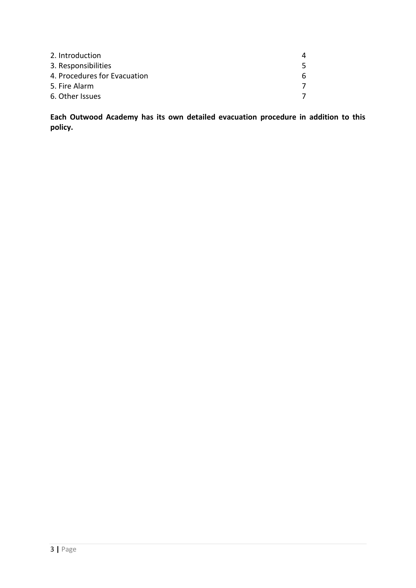| 2. Introduction              | Λ |
|------------------------------|---|
| 3. Responsibilities          |   |
| 4. Procedures for Evacuation | 6 |
| 5. Fire Alarm                |   |
| 6. Other Issues              |   |

**Each Outwood Academy has its own detailed evacuation procedure in addition to this policy.**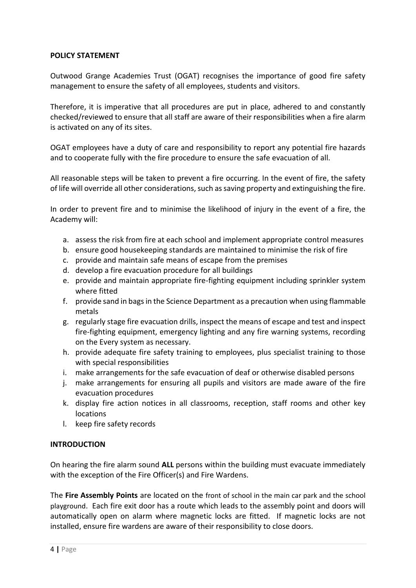#### **POLICY STATEMENT**

Outwood Grange Academies Trust (OGAT) recognises the importance of good fire safety management to ensure the safety of all employees, students and visitors.

Therefore, it is imperative that all procedures are put in place, adhered to and constantly checked/reviewed to ensure that all staff are aware of their responsibilities when a fire alarm is activated on any of its sites.

OGAT employees have a duty of care and responsibility to report any potential fire hazards and to cooperate fully with the fire procedure to ensure the safe evacuation of all.

All reasonable steps will be taken to prevent a fire occurring. In the event of fire, the safety of life will override all other considerations, such as saving property and extinguishing the fire.

In order to prevent fire and to minimise the likelihood of injury in the event of a fire, the Academy will:

- a. assess the risk from fire at each school and implement appropriate control measures
- b. ensure good housekeeping standards are maintained to minimise the risk of fire
- c. provide and maintain safe means of escape from the premises
- d. develop a fire evacuation procedure for all buildings
- e. provide and maintain appropriate fire-fighting equipment including sprinkler system where fitted
- f. provide sand in bags in the Science Department as a precaution when using flammable metals
- g. regularly stage fire evacuation drills, inspect the means of escape and test and inspect fire-fighting equipment, emergency lighting and any fire warning systems, recording on the Every system as necessary.
- h. provide adequate fire safety training to employees, plus specialist training to those with special responsibilities
- i. make arrangements for the safe evacuation of deaf or otherwise disabled persons
- j. make arrangements for ensuring all pupils and visitors are made aware of the fire evacuation procedures
- k. display fire action notices in all classrooms, reception, staff rooms and other key locations
- l. keep fire safety records

#### **INTRODUCTION**

On hearing the fire alarm sound **ALL** persons within the building must evacuate immediately with the exception of the Fire Officer(s) and Fire Wardens.

The **Fire Assembly Points** are located on the front of school in the main car park and the school playground. Each fire exit door has a route which leads to the assembly point and doors will automatically open on alarm where magnetic locks are fitted. If magnetic locks are not installed, ensure fire wardens are aware of their responsibility to close doors.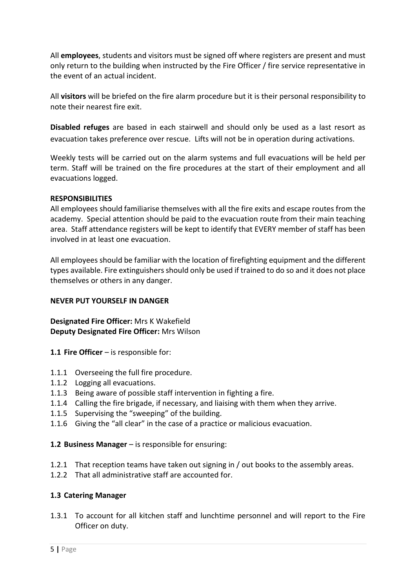All **employees**, students and visitors must be signed off where registers are present and must only return to the building when instructed by the Fire Officer / fire service representative in the event of an actual incident.

All **visitors** will be briefed on the fire alarm procedure but it is their personal responsibility to note their nearest fire exit.

**Disabled refuges** are based in each stairwell and should only be used as a last resort as evacuation takes preference over rescue. Lifts will not be in operation during activations.

Weekly tests will be carried out on the alarm systems and full evacuations will be held per term. Staff will be trained on the fire procedures at the start of their employment and all evacuations logged.

#### **RESPONSIBILITIES**

All employees should familiarise themselves with all the fire exits and escape routes from the academy. Special attention should be paid to the evacuation route from their main teaching area. Staff attendance registers will be kept to identify that EVERY member of staff has been involved in at least one evacuation.

All employees should be familiar with the location of firefighting equipment and the different types available. Fire extinguishers should only be used if trained to do so and it does not place themselves or others in any danger.

#### **NEVER PUT YOURSELF IN DANGER**

**Designated Fire Officer:** Mrs K Wakefield **Deputy Designated Fire Officer:** Mrs Wilson

- **1.1 Fire Officer**  is responsible for:
- 1.1.1 Overseeing the full fire procedure.
- 1.1.2 Logging all evacuations.
- 1.1.3 Being aware of possible staff intervention in fighting a fire.
- 1.1.4 Calling the fire brigade, if necessary, and liaising with them when they arrive.
- 1.1.5 Supervising the "sweeping" of the building.
- 1.1.6 Giving the "all clear" in the case of a practice or malicious evacuation.
- **1.2 Business Manager**  is responsible for ensuring:
- 1.2.1 That reception teams have taken out signing in / out books to the assembly areas.
- 1.2.2 That all administrative staff are accounted for.

#### **1.3 Catering Manager**

1.3.1 To account for all kitchen staff and lunchtime personnel and will report to the Fire Officer on duty.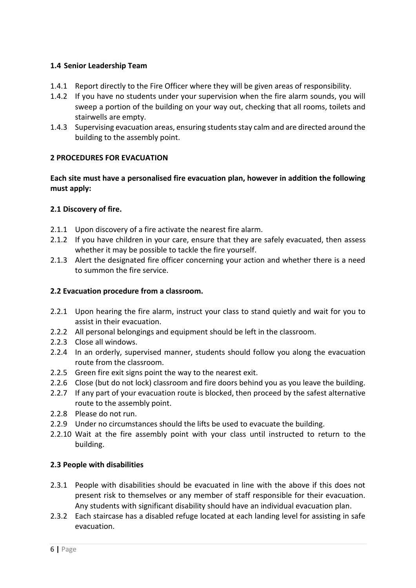### **1.4 Senior Leadership Team**

- 1.4.1 Report directly to the Fire Officer where they will be given areas of responsibility.
- 1.4.2 If you have no students under your supervision when the fire alarm sounds, you will sweep a portion of the building on your way out, checking that all rooms, toilets and stairwells are empty.
- 1.4.3 Supervising evacuation areas, ensuring students stay calm and are directed around the building to the assembly point.

#### **2 PROCEDURES FOR EVACUATION**

**Each site must have a personalised fire evacuation plan, however in addition the following must apply:**

#### **2.1 Discovery of fire.**

- 2.1.1 Upon discovery of a fire activate the nearest fire alarm.
- 2.1.2 If you have children in your care, ensure that they are safely evacuated, then assess whether it may be possible to tackle the fire yourself.
- 2.1.3 Alert the designated fire officer concerning your action and whether there is a need to summon the fire service.

#### **2.2 Evacuation procedure from a classroom.**

- 2.2.1 Upon hearing the fire alarm, instruct your class to stand quietly and wait for you to assist in their evacuation.
- 2.2.2 All personal belongings and equipment should be left in the classroom.
- 2.2.3 Close all windows.
- 2.2.4 In an orderly, supervised manner, students should follow you along the evacuation route from the classroom.
- 2.2.5 Green fire exit signs point the way to the nearest exit.
- 2.2.6 Close (but do not lock) classroom and fire doors behind you as you leave the building.
- 2.2.7 If any part of your evacuation route is blocked, then proceed by the safest alternative route to the assembly point.
- 2.2.8 Please do not run.
- 2.2.9 Under no circumstances should the lifts be used to evacuate the building.
- 2.2.10 Wait at the fire assembly point with your class until instructed to return to the building.

#### **2.3 People with disabilities**

- 2.3.1 People with disabilities should be evacuated in line with the above if this does not present risk to themselves or any member of staff responsible for their evacuation. Any students with significant disability should have an individual evacuation plan.
- 2.3.2 Each staircase has a disabled refuge located at each landing level for assisting in safe evacuation.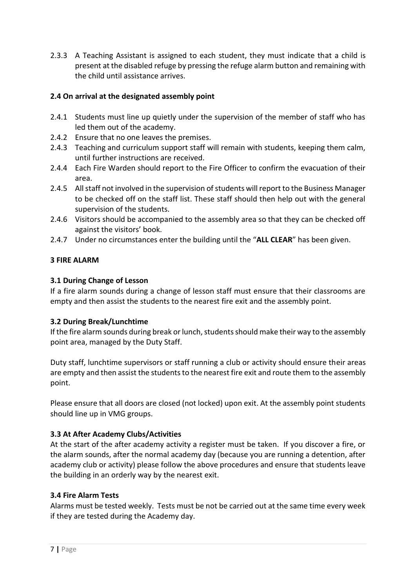2.3.3 A Teaching Assistant is assigned to each student, they must indicate that a child is present at the disabled refuge by pressing the refuge alarm button and remaining with the child until assistance arrives.

# **2.4 On arrival at the designated assembly point**

- 2.4.1 Students must line up quietly under the supervision of the member of staff who has led them out of the academy.
- 2.4.2 Ensure that no one leaves the premises.
- 2.4.3 Teaching and curriculum support staff will remain with students, keeping them calm, until further instructions are received.
- 2.4.4 Each Fire Warden should report to the Fire Officer to confirm the evacuation of their area.
- 2.4.5 All staff not involved in the supervision of students will report to the Business Manager to be checked off on the staff list. These staff should then help out with the general supervision of the students.
- 2.4.6 Visitors should be accompanied to the assembly area so that they can be checked off against the visitors' book.
- 2.4.7 Under no circumstances enter the building until the "**ALL CLEAR**" has been given.

# **3 FIRE ALARM**

#### **3.1 During Change of Lesson**

If a fire alarm sounds during a change of lesson staff must ensure that their classrooms are empty and then assist the students to the nearest fire exit and the assembly point.

#### **3.2 During Break/Lunchtime**

If the fire alarm sounds during break or lunch, students should make their way to the assembly point area, managed by the Duty Staff.

Duty staff, lunchtime supervisors or staff running a club or activity should ensure their areas are empty and then assist the students to the nearest fire exit and route them to the assembly point.

Please ensure that all doors are closed (not locked) upon exit. At the assembly point students should line up in VMG groups.

# **3.3 At After Academy Clubs/Activities**

At the start of the after academy activity a register must be taken. If you discover a fire, or the alarm sounds, after the normal academy day (because you are running a detention, after academy club or activity) please follow the above procedures and ensure that students leave the building in an orderly way by the nearest exit.

#### **3.4 Fire Alarm Tests**

Alarms must be tested weekly. Tests must be not be carried out at the same time every week if they are tested during the Academy day.